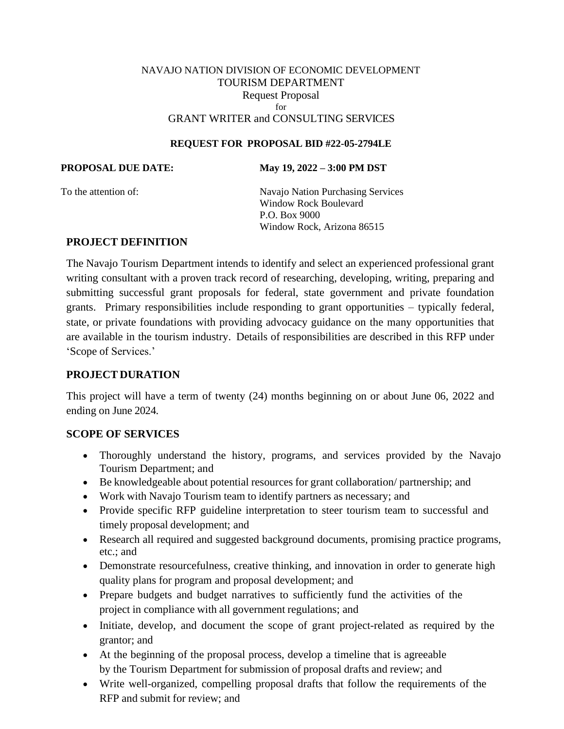#### NAVAJO NATION DIVISION OF ECONOMIC DEVELOPMENT TOURISM DEPARTMENT Request Proposal for GRANT WRITER and CONSULTING SERVICES

#### **REQUEST FOR PROPOSAL BID #22-05-2794LE**

**PROPOSAL DUE DATE: May 19, 2022 – 3:00 PM DST**

To the attention of: Navajo Nation Purchasing Services Window Rock Boulevard P.O. Box 9000 Window Rock, Arizona 86515

#### **PROJECT DEFINITION**

The Navajo Tourism Department intends to identify and select an experienced professional grant writing consultant with a proven track record of researching, developing, writing, preparing and submitting successful grant proposals for federal, state government and private foundation grants. Primary responsibilities include responding to grant opportunities – typically federal, state, or private foundations with providing advocacy guidance on the many opportunities that are available in the tourism industry. Details of responsibilities are described in this RFP under 'Scope of Services.'

### **PROJECT DURATION**

This project will have a term of twenty (24) months beginning on or about June 06, 2022 and ending on June 2024.

### **SCOPE OF SERVICES**

- Thoroughly understand the history, programs, and services provided by the Navajo Tourism Department; and
- Be knowledgeable about potential resources for grant collaboration/ partnership; and
- Work with Navajo Tourism team to identify partners as necessary; and
- Provide specific RFP guideline interpretation to steer tourism team to successful and timely proposal development; and
- Research all required and suggested background documents, promising practice programs, etc.; and
- Demonstrate resourcefulness, creative thinking, and innovation in order to generate high quality plans for program and proposal development; and
- Prepare budgets and budget narratives to sufficiently fund the activities of the project in compliance with all government regulations; and
- Initiate, develop, and document the scope of grant project-related as required by the grantor; and
- At the beginning of the proposal process, develop a timeline that is agreeable by the Tourism Department for submission of proposal drafts and review; and
- Write well-organized, compelling proposal drafts that follow the requirements of the RFP and submit for review; and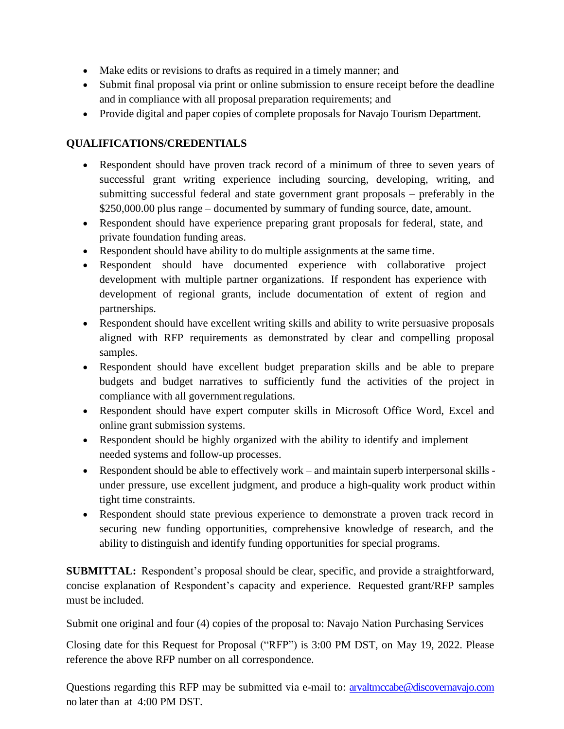- Make edits or revisions to drafts as required in a timely manner; and
- Submit final proposal via print or online submission to ensure receipt before the deadline and in compliance with all proposal preparation requirements; and
- Provide digital and paper copies of complete proposals for Navajo Tourism Department.

## **QUALIFICATIONS/CREDENTIALS**

- Respondent should have proven track record of a minimum of three to seven years of successful grant writing experience including sourcing, developing, writing, and submitting successful federal and state government grant proposals – preferably in the \$250,000.00 plus range – documented by summary of funding source, date, amount.
- Respondent should have experience preparing grant proposals for federal, state, and private foundation funding areas.
- Respondent should have ability to do multiple assignments at the same time.
- Respondent should have documented experience with collaborative project development with multiple partner organizations. If respondent has experience with development of regional grants, include documentation of extent of region and partnerships.
- Respondent should have excellent writing skills and ability to write persuasive proposals aligned with RFP requirements as demonstrated by clear and compelling proposal samples.
- Respondent should have excellent budget preparation skills and be able to prepare budgets and budget narratives to sufficiently fund the activities of the project in compliance with all government regulations.
- Respondent should have expert computer skills in Microsoft Office Word, Excel and online grant submission systems.
- Respondent should be highly organized with the ability to identify and implement needed systems and follow-up processes.
- Respondent should be able to effectively work and maintain superb interpersonal skills under pressure, use excellent judgment, and produce a high-quality work product within tight time constraints.
- Respondent should state previous experience to demonstrate a proven track record in securing new funding opportunities, comprehensive knowledge of research, and the ability to distinguish and identify funding opportunities for special programs.

**SUBMITTAL:** Respondent's proposal should be clear, specific, and provide a straightforward, concise explanation of Respondent's capacity and experience. Requested grant/RFP samples must be included.

Submit one original and four (4) copies of the proposal to: Navajo Nation Purchasing Services

Closing date for this Request for Proposal ("RFP") is 3:00 PM DST, on May 19, 2022. Please reference the above RFP number on all correspondence.

Questions regarding this RFP may be submitted via e-mail to: **[arvaltmccabe@discovernavajo.com](mailto:arvaltmccabe@discovernavajo.com)** no later than at 4:00 PM DST.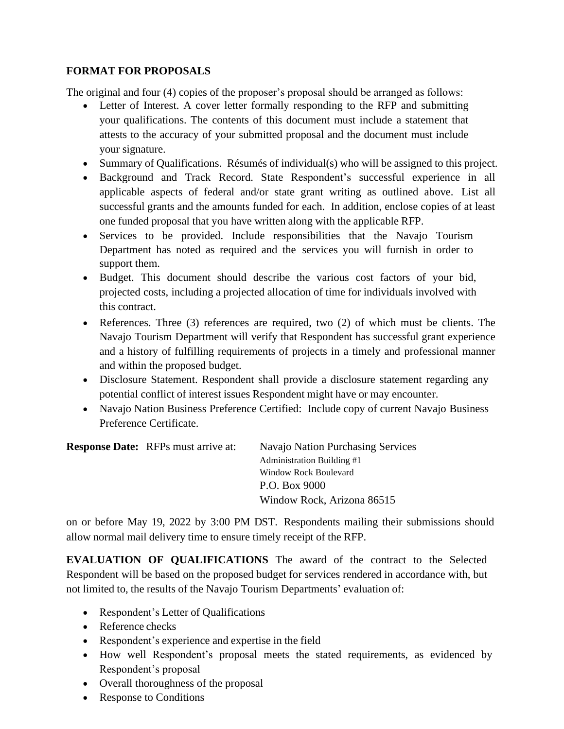# **FORMAT FOR PROPOSALS**

The original and four (4) copies of the proposer's proposal should be arranged as follows:

- Letter of Interest. A cover letter formally responding to the RFP and submitting your qualifications. The contents of this document must include a statement that attests to the accuracy of your submitted proposal and the document must include your signature.
- Summary of Qualifications. Résumés of individual(s) who will be assigned to this project.
- Background and Track Record. State Respondent's successful experience in all applicable aspects of federal and/or state grant writing as outlined above. List all successful grants and the amounts funded for each. In addition, enclose copies of at least one funded proposal that you have written along with the applicable RFP.
- Services to be provided. Include responsibilities that the Navajo Tourism Department has noted as required and the services you will furnish in order to support them.
- Budget. This document should describe the various cost factors of your bid, projected costs, including a projected allocation of time for individuals involved with this contract.
- References. Three (3) references are required, two (2) of which must be clients. The Navajo Tourism Department will verify that Respondent has successful grant experience and a history of fulfilling requirements of projects in a timely and professional manner and within the proposed budget.
- Disclosure Statement. Respondent shall provide a disclosure statement regarding any potential conflict of interest issues Respondent might have or may encounter.
- Navajo Nation Business Preference Certified: Include copy of current Navajo Business Preference Certificate.

|  | <b>Response Date:</b> RFPs must arrive at: | Navajo Nation Purchasing Services |
|--|--------------------------------------------|-----------------------------------|
|  |                                            | Administration Building #1        |
|  |                                            | Window Rock Boulevard             |
|  |                                            | P.O. Box 9000                     |
|  |                                            | Window Rock, Arizona 86515        |

on or before May 19, 2022 by 3:00 PM DST. Respondents mailing their submissions should allow normal mail delivery time to ensure timely receipt of the RFP.

**EVALUATION OF QUALIFICATIONS** The award of the contract to the Selected Respondent will be based on the proposed budget for services rendered in accordance with, but not limited to, the results of the Navajo Tourism Departments' evaluation of:

- Respondent's Letter of Qualifications
- Reference checks
- Respondent's experience and expertise in the field
- How well Respondent's proposal meets the stated requirements, as evidenced by Respondent's proposal
- Overall thoroughness of the proposal
- Response to Conditions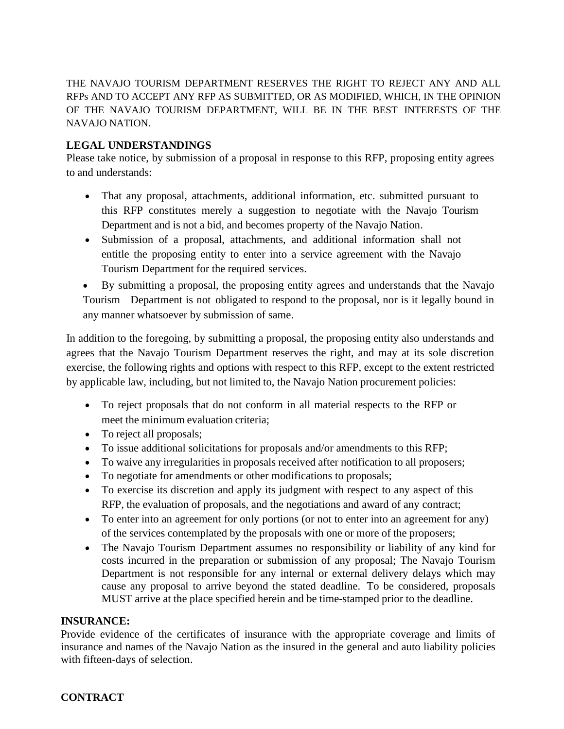THE NAVAJO TOURISM DEPARTMENT RESERVES THE RIGHT TO REJECT ANY AND ALL RFPs AND TO ACCEPT ANY RFP AS SUBMITTED, OR AS MODIFIED, WHICH, IN THE OPINION OF THE NAVAJO TOURISM DEPARTMENT, WILL BE IN THE BEST INTERESTS OF THE NAVAJO NATION.

## **LEGAL UNDERSTANDINGS**

Please take notice, by submission of a proposal in response to this RFP, proposing entity agrees to and understands:

- That any proposal, attachments, additional information, etc. submitted pursuant to this RFP constitutes merely a suggestion to negotiate with the Navajo Tourism Department and is not a bid, and becomes property of the Navajo Nation.
- Submission of a proposal, attachments, and additional information shall not entitle the proposing entity to enter into a service agreement with the Navajo Tourism Department for the required services.

• By submitting a proposal, the proposing entity agrees and understands that the Navajo Tourism Department is not obligated to respond to the proposal, nor is it legally bound in any manner whatsoever by submission of same.

In addition to the foregoing, by submitting a proposal, the proposing entity also understands and agrees that the Navajo Tourism Department reserves the right, and may at its sole discretion exercise, the following rights and options with respect to this RFP, except to the extent restricted by applicable law, including, but not limited to, the Navajo Nation procurement policies:

- To reject proposals that do not conform in all material respects to the RFP or meet the minimum evaluation criteria;
- To reject all proposals;
- To issue additional solicitations for proposals and/or amendments to this RFP;
- To waive any irregularities in proposals received after notification to all proposers;
- To negotiate for amendments or other modifications to proposals;
- To exercise its discretion and apply its judgment with respect to any aspect of this RFP, the evaluation of proposals, and the negotiations and award of any contract;
- To enter into an agreement for only portions (or not to enter into an agreement for any) of the services contemplated by the proposals with one or more of the proposers;
- The Navajo Tourism Department assumes no responsibility or liability of any kind for costs incurred in the preparation or submission of any proposal; The Navajo Tourism Department is not responsible for any internal or external delivery delays which may cause any proposal to arrive beyond the stated deadline. To be considered, proposals MUST arrive at the place specified herein and be time-stamped prior to the deadline.

### **INSURANCE:**

Provide evidence of the certificates of insurance with the appropriate coverage and limits of insurance and names of the Navajo Nation as the insured in the general and auto liability policies with fifteen-days of selection.